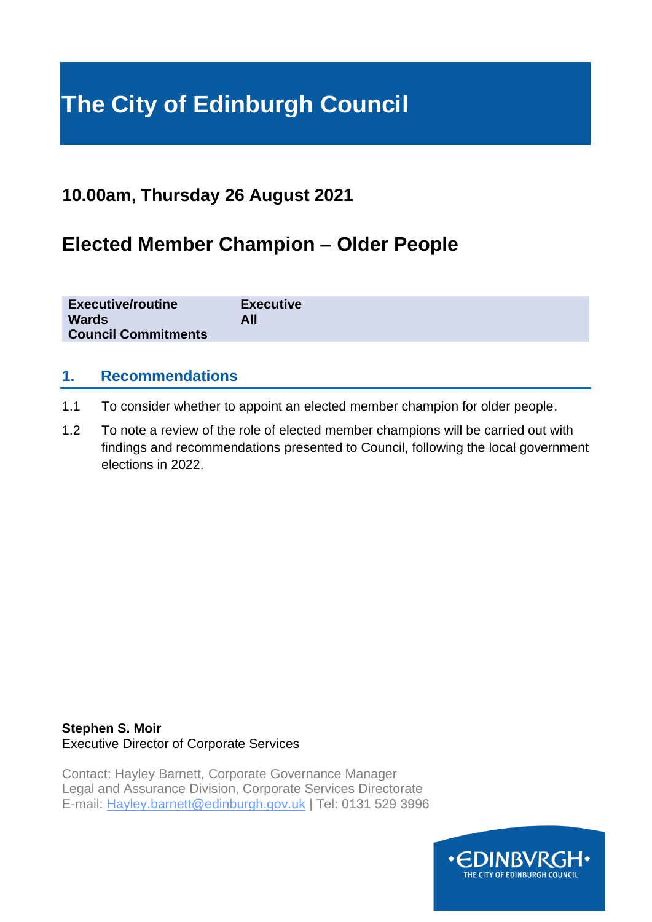# **The City of Edinburgh Council**

### **10.00am, Thursday 26 August 2021**

## **Elected Member Champion – Older People**

| <b>Executive/routine</b>   | <b>Executive</b> |
|----------------------------|------------------|
| <b>Wards</b>               | All              |
| <b>Council Commitments</b> |                  |

#### **1. Recommendations**

- 1.1 To consider whether to appoint an elected member champion for older people.
- 1.2 To note a review of the role of elected member champions will be carried out with findings and recommendations presented to Council, following the local government elections in 2022.

#### **Stephen S. Moir** Executive Director of Corporate Services

Contact: Hayley Barnett, Corporate Governance Manager Legal and Assurance Division, Corporate Services Directorate E-mail: Hayley.barnett@edinburgh.gov.uk | Tel: 0131 529 3996

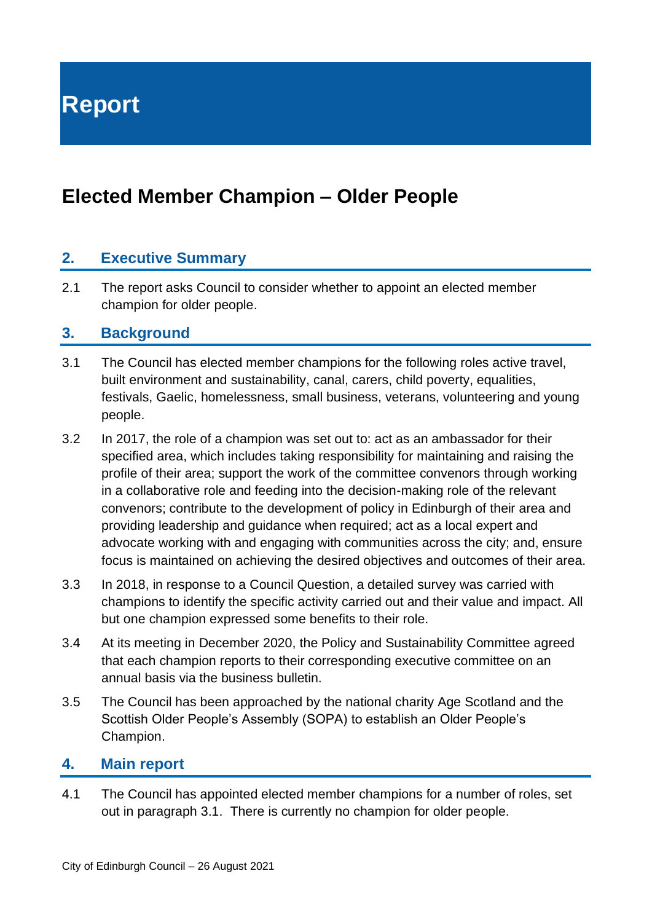**Report**

## **Elected Member Champion – Older People**

#### **2. Executive Summary**

2.1 The report asks Council to consider whether to appoint an elected member champion for older people.

#### **3. Background**

- 3.1 The Council has elected member champions for the following roles active travel, built environment and sustainability, canal, carers, child poverty, equalities, festivals, Gaelic, homelessness, small business, veterans, volunteering and young people.
- 3.2 In 2017, the role of a champion was set out to: act as an ambassador for their specified area, which includes taking responsibility for maintaining and raising the profile of their area; support the work of the committee convenors through working in a collaborative role and feeding into the decision-making role of the relevant convenors; contribute to the development of policy in Edinburgh of their area and providing leadership and guidance when required; act as a local expert and advocate working with and engaging with communities across the city; and, ensure focus is maintained on achieving the desired objectives and outcomes of their area.
- 3.3 In 2018, in response to a Council Question, a detailed survey was carried with champions to identify the specific activity carried out and their value and impact. All but one champion expressed some benefits to their role.
- 3.4 At its meeting in December 2020, the Policy and Sustainability Committee agreed that each champion reports to their corresponding executive committee on an annual basis via the business bulletin.
- 3.5 The Council has been approached by the national charity Age Scotland and the Scottish Older People's Assembly (SOPA) to establish an Older People's Champion.

#### **4. Main report**

4.1 The Council has appointed elected member champions for a number of roles, set out in paragraph 3.1. There is currently no champion for older people.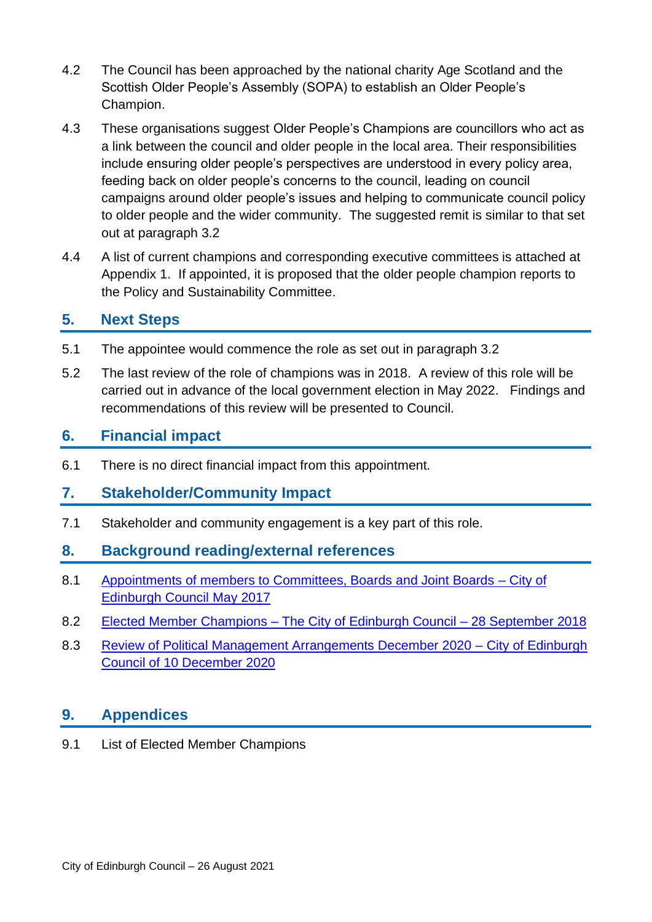- 4.2 The Council has been approached by the national charity Age Scotland and the Scottish Older People's Assembly (SOPA) to establish an Older People's Champion.
- 4.3 These organisations suggest Older People's Champions are councillors who act as a link between the council and older people in the local area. Their responsibilities include ensuring older people's perspectives are understood in every policy area, feeding back on older people's concerns to the council, leading on council campaigns around older people's issues and helping to communicate council policy to older people and the wider community. The suggested remit is similar to that set out at paragraph 3.2
- 4.4 A list of current champions and corresponding executive committees is attached at Appendix 1. If appointed, it is proposed that the older people champion reports to the Policy and Sustainability Committee.

#### **5. Next Steps**

- 5.1 The appointee would commence the role as set out in paragraph 3.2
- 5.2 The last review of the role of champions was in 2018. A review of this role will be carried out in advance of the local government election in May 2022. Findings and recommendations of this review will be presented to Council.

#### **6. Financial impact**

6.1 There is no direct financial impact from this appointment.

#### **7. Stakeholder/Community Impact**

7.1 Stakeholder and community engagement is a key part of this role.

#### **8. Background reading/external references**

- 8.1 Appointments [of members to Committees, Boards and Joint Boards –](https://democracy.edinburgh.gov.uk/CeListDocuments.aspx?CommitteeId=150&MeetingId=1003&DF=18%2f05%2f2017&Ver=2) City of [Edinburgh Council May 2017](https://democracy.edinburgh.gov.uk/CeListDocuments.aspx?CommitteeId=150&MeetingId=1003&DF=18%2f05%2f2017&Ver=2)
- 8.2 Elected Member Champions [The City of Edinburgh Council –](https://democracy.edinburgh.gov.uk/CeListDocuments.aspx?CommitteeId=150&MeetingId=1018&DF=20%2f09%2f2018&Ver=2) 28 September 2018
- 8.3 [Review of Political Management Arrangements December 2020](https://democracy.edinburgh.gov.uk/ieListDocuments.aspx?CId=150&MId=5594&Ver=4) City of Edinburgh [Council of 10 December 2020](https://democracy.edinburgh.gov.uk/ieListDocuments.aspx?CId=150&MId=5594&Ver=4)

#### **9. Appendices**

9.1 List of Elected Member Champions